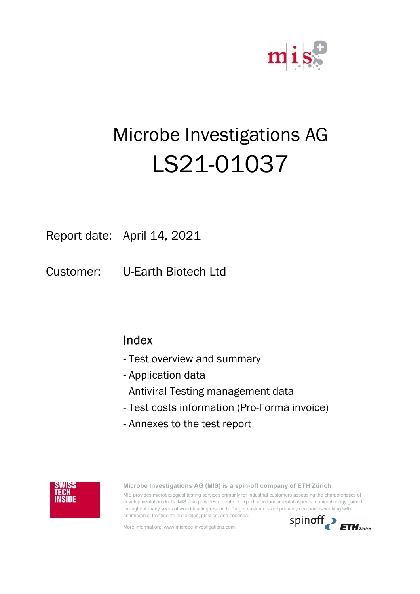

# Microbe Investigations AG LS21-01037

Report date: April 14, 2021

Customer: U-Earth Biotech Ltd

| Index                                        |
|----------------------------------------------|
| - Test overview and summary                  |
| - Application data                           |
| - Antiviral Testing management data          |
| - Test costs information (Pro-Forma invoice) |
| - Annexes to the test report                 |
|                                              |



Microbe Investigations AG (MIS) is a spin-off company of ETH Zürich

MIS provides microbiological testing services primarily for industrial customers assessing the characteristics of developmental products. MIS also provides a depth of expertise in fundamental aspects of microbiology gained throughout many years of world-leading research. Target customers are primarily companies working with antimicrobial treatments on textiles, plastics, and coatings.

More information: www.microbe-investigations.com

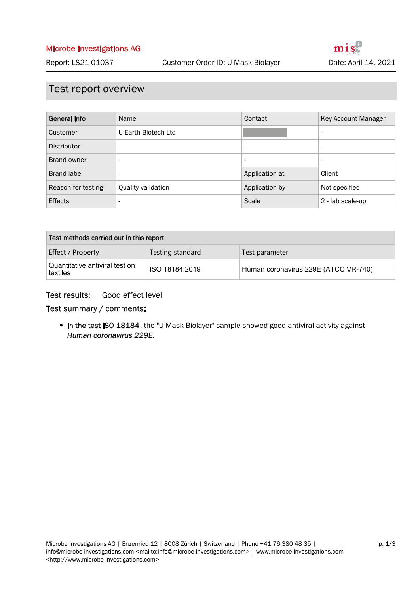## Test report overview

| General Info       | Name                     | Contact                  | Key Account Manager          |
|--------------------|--------------------------|--------------------------|------------------------------|
| Customer           | U-Earth Biotech Ltd      |                          | $\overline{\phantom{a}}$     |
| Distributor        | $\overline{\phantom{a}}$ | $\overline{\phantom{a}}$ | $\qquad \qquad \blacksquare$ |
| Brand owner        | $\overline{\phantom{a}}$ | $\overline{\phantom{0}}$ | $\overline{\phantom{a}}$     |
| <b>Brand label</b> | $\overline{\phantom{a}}$ | Application at           | Client                       |
| Reason for testing | Quality validation       | Application by           | Not specified                |
| <b>Effects</b>     | $\overline{\phantom{a}}$ | Scale                    | 2 - lab scale-up             |

| Test methods carried out in this report    |                  |                                      |  |  |
|--------------------------------------------|------------------|--------------------------------------|--|--|
| Effect / Property                          | Testing standard | Test parameter                       |  |  |
| Quantitative antiviral test on<br>textiles | ISO 18184:2019   | Human coronavirus 229E (ATCC VR-740) |  |  |

#### Good effect level Test results:

#### Test summary / comments:

• In the test ISO 18184, the "U-Mask Biolayer" sample showed good antiviral activity against Human coronavirus 229E.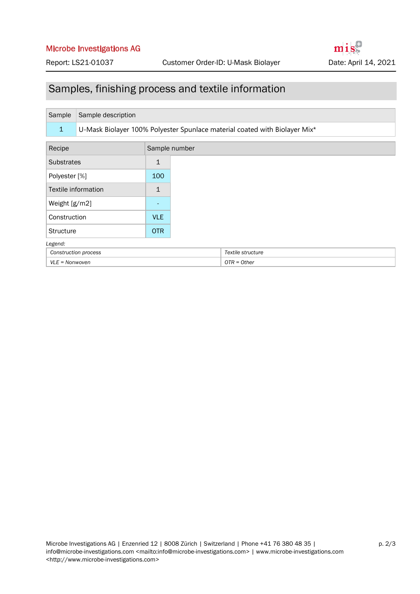#### Microbe Investigations AG

## Samples, finishing process and textile information

| Sample                  | Sample description                                                         |              |                   |  |
|-------------------------|----------------------------------------------------------------------------|--------------|-------------------|--|
| $\mathbf{1}$            | U-Mask Biolayer 100% Polyester Spunlace material coated with Biolayer Mix* |              |                   |  |
| Recipe<br>Sample number |                                                                            |              |                   |  |
| <b>Substrates</b>       |                                                                            | $\mathbf{1}$ |                   |  |
| Polyester [%]           |                                                                            | 100          |                   |  |
|                         | Textile information                                                        | $\mathbf{1}$ |                   |  |
| Weight [g/m2]           |                                                                            |              |                   |  |
| Construction            |                                                                            | <b>VLE</b>   |                   |  |
| <b>Structure</b>        |                                                                            | <b>OTR</b>   |                   |  |
| Legend:                 |                                                                            |              |                   |  |
| Construction process    |                                                                            |              | Textile structure |  |
| $VLE = Nonwoven$        |                                                                            |              | $OTR = Other$     |  |